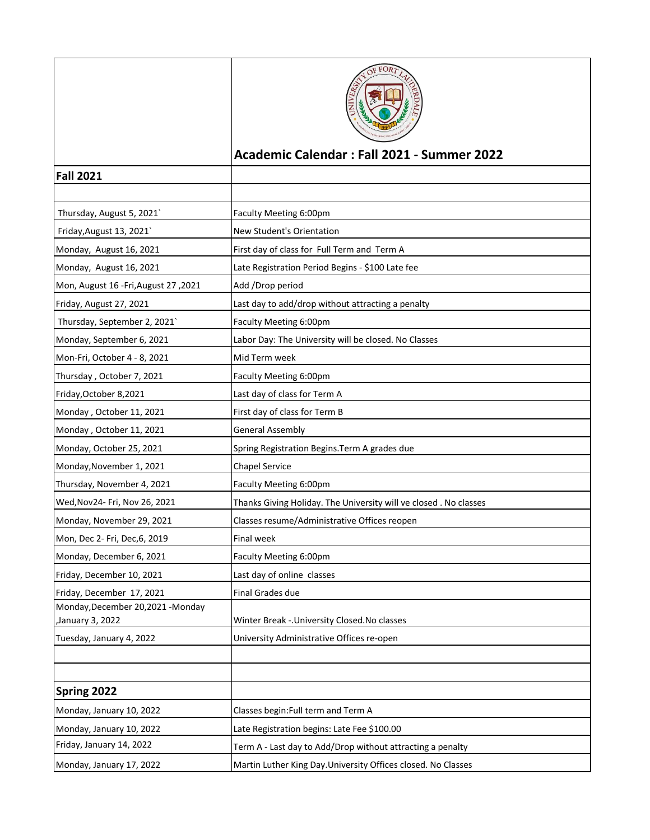|                                                        | FOR                                                              |
|--------------------------------------------------------|------------------------------------------------------------------|
|                                                        | Academic Calendar: Fall 2021 - Summer 2022                       |
| <b>Fall 2021</b>                                       |                                                                  |
|                                                        |                                                                  |
| Thursday, August 5, 2021`                              | Faculty Meeting 6:00pm                                           |
| Friday, August 13, 2021                                | New Student's Orientation                                        |
| Monday, August 16, 2021                                | First day of class for Full Term and Term A                      |
| Monday, August 16, 2021                                | Late Registration Period Begins - \$100 Late fee                 |
| Mon, August 16 - Fri, August 27, 2021                  | Add /Drop period                                                 |
| Friday, August 27, 2021                                | Last day to add/drop without attracting a penalty                |
| Thursday, September 2, 2021`                           | Faculty Meeting 6:00pm                                           |
| Monday, September 6, 2021                              | Labor Day: The University will be closed. No Classes             |
| Mon-Fri, October 4 - 8, 2021                           | Mid Term week                                                    |
| Thursday, October 7, 2021                              | Faculty Meeting 6:00pm                                           |
| Friday, October 8,2021                                 | Last day of class for Term A                                     |
| Monday, October 11, 2021                               | First day of class for Term B                                    |
| Monday, October 11, 2021                               | <b>General Assembly</b>                                          |
| Monday, October 25, 2021                               | Spring Registration Begins. Term A grades due                    |
| Monday, November 1, 2021                               | <b>Chapel Service</b>                                            |
| Thursday, November 4, 2021                             | Faculty Meeting 6:00pm                                           |
| Wed, Nov 24- Fri, Nov 26, 2021                         | Thanks Giving Holiday. The University will ve closed. No classes |
| Monday, November 29, 2021                              | Classes resume/Administrative Offices reopen                     |
| Mon, Dec 2- Fri, Dec, 6, 2019                          | Final week                                                       |
| Monday, December 6, 2021                               | Faculty Meeting 6:00pm                                           |
| Friday, December 10, 2021                              | Last day of online classes                                       |
| Friday, December 17, 2021                              | Final Grades due                                                 |
| Monday, December 20, 2021 - Monday<br>January 3, 2022, | Winter Break -. University Closed. No classes                    |
| Tuesday, January 4, 2022                               | University Administrative Offices re-open                        |
|                                                        |                                                                  |
|                                                        |                                                                  |
| Spring 2022                                            |                                                                  |
| Monday, January 10, 2022                               | Classes begin: Full term and Term A                              |
| Monday, January 10, 2022                               | Late Registration begins: Late Fee \$100.00                      |
| Friday, January 14, 2022                               | Term A - Last day to Add/Drop without attracting a penalty       |
| Monday, January 17, 2022                               | Martin Luther King Day.University Offices closed. No Classes     |